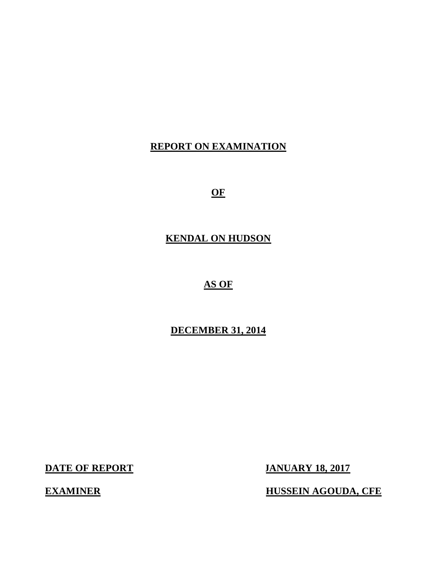# **REPORT ON EXAMINATION**

**OF** 

# **KENDAL ON HUDSON**

## **AS OF**

# **DECEMBER 31, 2014**

**DATE OF REPORT JANUARY 18, 2017** 

**EXAMINER EXAMINER EXAMINER EXAMINER**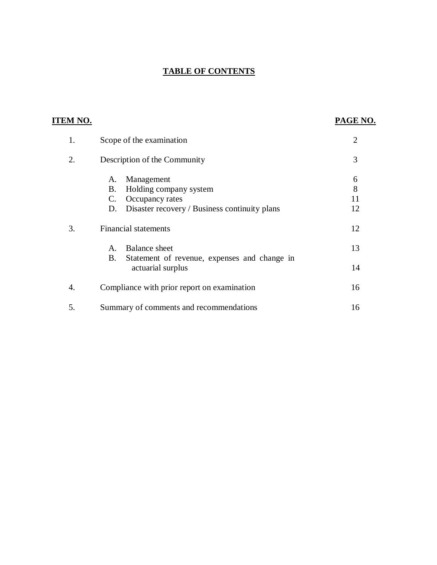### **TABLE OF CONTENTS**

| TEM NO. |                                                                                                                                  | PAGE NO.           |
|---------|----------------------------------------------------------------------------------------------------------------------------------|--------------------|
| 1.      | Scope of the examination                                                                                                         | $\overline{2}$     |
| 2.      | Description of the Community                                                                                                     | 3                  |
|         | Management<br>А.<br>Holding company system<br>B.<br>Occupancy rates<br>C.<br>Disaster recovery / Business continuity plans<br>D. | 6<br>8<br>11<br>12 |
| 3.      | <b>Financial statements</b>                                                                                                      | 12                 |
|         | Balance sheet<br>$A_{\cdot}$<br>B.                                                                                               | 13                 |
|         | Statement of revenue, expenses and change in<br>actuarial surplus                                                                | 14                 |
| 4.      | Compliance with prior report on examination                                                                                      | 16                 |
| 5.      | Summary of comments and recommendations                                                                                          | 16                 |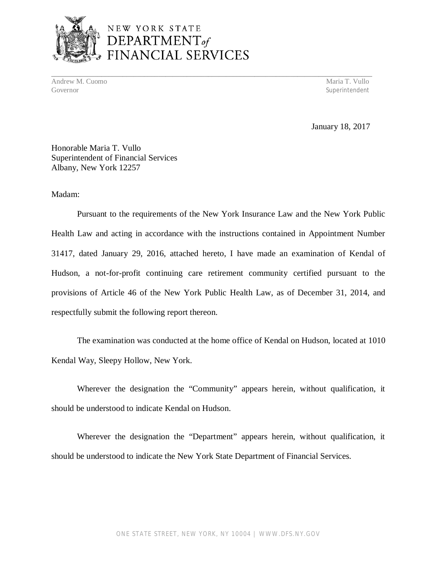

# NEW YORK STATE DEPARTMENT<sub>of</sub> FINANCIAL SERVICES

Andrew M. Cuomo **Maria T. Vullo** Maria T. Vullo Maria T. Vullo Maria T. Vullo Maria T. Vullo Maria T. Vullo Maria T. Vullo Maria T. Vullo Maria T. Vullo Maria T. Vullo Maria T. Vullo Maria T. Vullo Maria T. Vullo Maria T. Governor Superintendent Superintendent Superintendent Superintendent Superintendent Superintendent Superintendent Superintendent Superintendent Superintendent Superintendent Superintendent Superintendent Superintendent Sup

**\_\_\_\_\_\_\_\_\_\_\_\_\_\_\_\_\_\_\_\_\_\_\_\_\_\_\_\_\_\_\_\_\_\_\_\_\_\_\_\_\_\_\_\_\_\_\_\_\_\_\_\_\_\_\_\_\_\_\_\_\_\_\_\_\_\_\_\_\_\_\_\_\_\_\_\_\_\_\_\_\_\_\_\_\_\_\_\_\_\_** 

January 18, 2017

 Honorable Maria T. Vullo Superintendent of Financial Services Albany, New York 12257

Madam:

 Pursuant to the requirements of the New York Insurance Law and the New York Public Health Law and acting in accordance with the instructions contained in Appointment Number 31417, dated January 29, 2016, attached hereto, I have made an examination of Kendal of Hudson, a not-for-profit continuing care retirement community certified pursuant to the provisions of Article 46 of the New York Public Health Law, as of December 31, 2014, and respectfully submit the following report thereon.

 The examination was conducted at the home office of Kendal on Hudson, located at 1010 Kendal Way, Sleepy Hollow, New York.

 Wherever the designation the "Community" appears herein, without qualification, it should be understood to indicate Kendal on Hudson.

 Wherever the designation the "Department" appears herein, without qualification, it should be understood to indicate the New York State Department of Financial Services.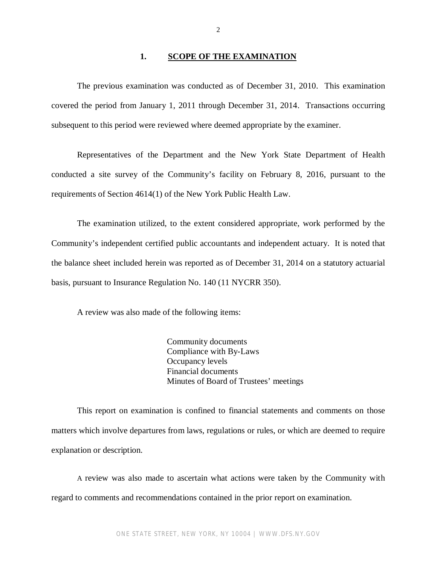#### **1. <u>SCOPE OF THE EXAMINATION</u>**

<span id="page-3-0"></span> The previous examination was conducted as of December 31, 2010. This examination covered the period from January 1, 2011 through December 31, 2014. Transactions occurring subsequent to this period were reviewed where deemed appropriate by the examiner.

 Representatives of the Department and the New York State Department of Health conducted a site survey of the Community's facility on February 8, 2016, pursuant to the requirements of Section 4614(1) of the New York Public Health Law.

 The examination utilized, to the extent considered appropriate, work performed by the Community's independent certified public accountants and independent actuary. It is noted that the balance sheet included herein was reported as of December 31, 2014 on a statutory actuarial basis, pursuant to Insurance Regulation No. 140 (11 NYCRR 350).

A review was also made of the following items:

 Community documents Compliance with By-Laws Occupancy levels Financial documents Minutes of Board of Trustees' meetings

 matters which involve departures from laws, regulations or rules, or which are deemed to require explanation or description. This report on examination is confined to financial statements and comments on those

 A review was also made to ascertain what actions were taken by the Community with regard to comments and recommendations contained in the prior report on examination.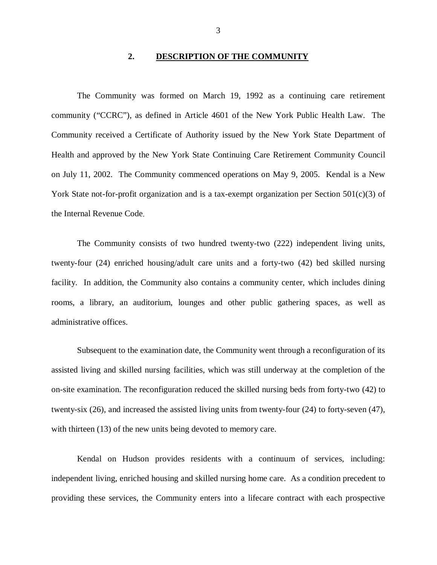#### $2.$ **2. DESCRIPTION OF THE COMMUNITY**

<span id="page-4-0"></span> community ("CCRC"), as defined in Article 4601 of the New York Public Health Law. The Community received a Certificate of Authority issued by the New York State Department of Health and approved by the New York State Continuing Care Retirement Community Council on July 11, 2002. The Community commenced operations on May 9, 2005. Kendal is a New York State not-for-profit organization and is a tax-exempt organization per Section 501(c)(3) of the Internal Revenue Code. The Community was formed on March 19, 1992 as a continuing care retirement

 The Community consists of two hundred twenty-two (222) independent living units, twenty-four (24) enriched housing/adult care units and a forty-two (42) bed skilled nursing facility. In addition, the Community also contains a community center, which includes dining rooms, a library, an auditorium, lounges and other public gathering spaces, as well as administrative offices.

 Subsequent to the examination date, the Community went through a reconfiguration of its assisted living and skilled nursing facilities, which was still underway at the completion of the on-site examination. The reconfiguration reduced the skilled nursing beds from forty-two (42) to twenty-six (26), and increased the assisted living units from twenty-four (24) to forty-seven (47), with thirteen (13) of the new units being devoted to memory care.

 Kendal on Hudson provides residents with a continuum of services, including: independent living, enriched housing and skilled nursing home care. As a condition precedent to providing these services, the Community enters into a lifecare contract with each prospective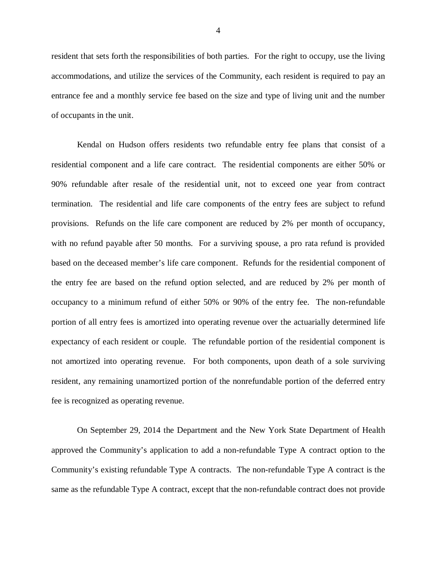resident that sets forth the responsibilities of both parties. For the right to occupy, use the living accommodations, and utilize the services of the Community, each resident is required to pay an entrance fee and a monthly service fee based on the size and type of living unit and the number of occupants in the unit.

 Kendal on Hudson offers residents two refundable entry fee plans that consist of a residential component and a life care contract. The residential components are either 50% or 90% refundable after resale of the residential unit, not to exceed one year from contract termination. The residential and life care components of the entry fees are subject to refund provisions. Refunds on the life care component are reduced by 2% per month of occupancy, with no refund payable after 50 months. For a surviving spouse, a pro rata refund is provided based on the deceased member's life care component. Refunds for the residential component of the entry fee are based on the refund option selected, and are reduced by 2% per month of occupancy to a minimum refund of either 50% or 90% of the entry fee. The non-refundable portion of all entry fees is amortized into operating revenue over the actuarially determined life expectancy of each resident or couple. The refundable portion of the residential component is not amortized into operating revenue. For both components, upon death of a sole surviving resident, any remaining unamortized portion of the nonrefundable portion of the deferred entry fee is recognized as operating revenue.

 On September 29, 2014 the Department and the New York State Department of Health approved the Community's application to add a non-refundable Type A contract option to the Community's existing refundable Type A contracts. The non-refundable Type A contract is the same as the refundable Type A contract, except that the non-refundable contract does not provide

4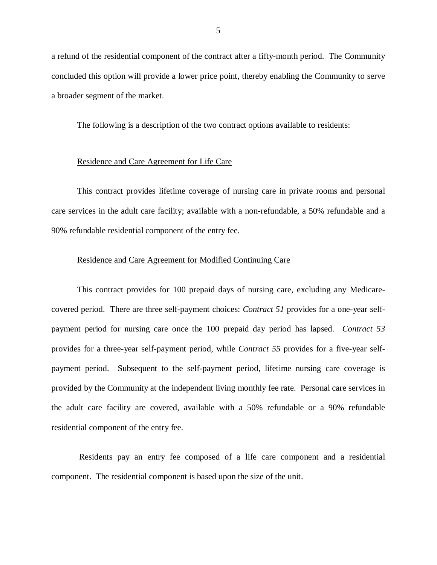a refund of the residential component of the contract after a fifty-month period. The Community concluded this option will provide a lower price point, thereby enabling the Community to serve a broader segment of the market.

The following is a description of the two contract options available to residents:

#### Residence and Care Agreement for Life Care

 care services in the adult care facility; available with a non-refundable, a 50% refundable and a 90% refundable residential component of the entry fee. This contract provides lifetime coverage of nursing care in private rooms and personal

#### Residence and Care Agreement for Modified Continuing Care

 covered period. There are three self-payment choices: *Contract 51* provides for a one-year self- payment period for nursing care once the 100 prepaid day period has lapsed. *Contract 53*  provides for a three-year self-payment period, while *Contract 55* provides for a five-year self- payment period. Subsequent to the self-payment period, lifetime nursing care coverage is provided by the Community at the independent living monthly fee rate. Personal care services in the adult care facility are covered, available with a 50% refundable or a 90% refundable residential component of the entry fee. This contract provides for 100 prepaid days of nursing care, excluding any Medicare-

 Residents pay an entry fee composed of a life care component and a residential component. The residential component is based upon the size of the unit.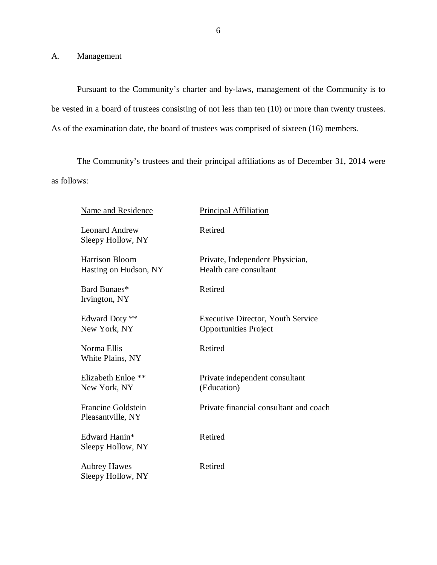A. Management

 Pursuant to the Community's charter and by-laws, management of the Community is to be vested in a board of trustees consisting of not less than ten (10) or more than twenty trustees. As of the examination date, the board of trustees was comprised of sixteen (16) members.

 as follows: The Community's trustees and their principal affiliations as of December 31, 2014 were

| <b>Name and Residence</b>                  | <b>Principal Affiliation</b>                                             |
|--------------------------------------------|--------------------------------------------------------------------------|
| <b>Leonard Andrew</b><br>Sleepy Hollow, NY | Retired                                                                  |
| Harrison Bloom<br>Hasting on Hudson, NY    | Private, Independent Physician,<br>Health care consultant                |
| Bard Bunaes*<br>Irvington, NY              | Retired                                                                  |
| Edward Doty **<br>New York, NY             | <b>Executive Director, Youth Service</b><br><b>Opportunities Project</b> |
| Norma Ellis<br>White Plains, NY            | Retired                                                                  |
| Elizabeth Enloe **<br>New York, NY         | Private independent consultant<br>(Education)                            |
| Francine Goldstein<br>Pleasantville, NY    | Private financial consultant and coach                                   |
| Edward Hanin*<br>Sleepy Hollow, NY         | Retired                                                                  |
| <b>Aubrey Hawes</b><br>Sleepy Hollow, NY   | Retired                                                                  |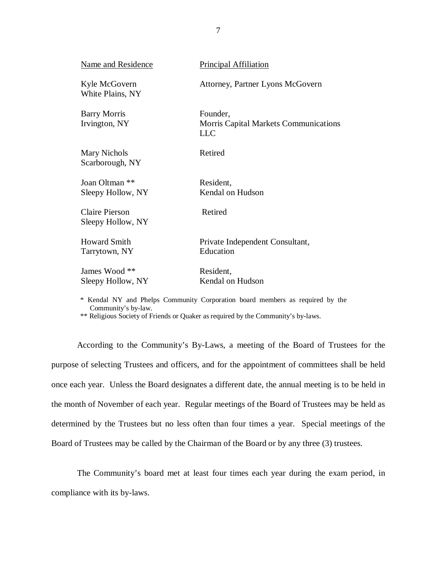| <b>Name and Residence</b>                  | <b>Principal Affiliation</b>                                           |
|--------------------------------------------|------------------------------------------------------------------------|
| Kyle McGovern<br>White Plains, NY          | Attorney, Partner Lyons McGovern                                       |
| <b>Barry Morris</b><br>Irvington, NY       | Founder,<br><b>Morris Capital Markets Communications</b><br><b>LLC</b> |
| Mary Nichols<br>Scarborough, NY            | Retired                                                                |
| Joan Oltman **                             | Resident,                                                              |
| Sleepy Hollow, NY                          | Kendal on Hudson                                                       |
| <b>Claire Pierson</b><br>Sleepy Hollow, NY | Retired                                                                |
| <b>Howard Smith</b><br>Tarrytown, NY       | Private Independent Consultant,<br>Education                           |
| James Wood **<br>Sleepy Hollow, NY         | Resident,<br>Kendal on Hudson                                          |

 \* Kendal NY and Phelps Community Corporation board members as required by the Community's by-law.

\*\* Religious Society of Friends or Quaker as required by the Community's by-laws.

 According to the Community's By-Laws, a meeting of the Board of Trustees for the purpose of selecting Trustees and officers, and for the appointment of committees shall be held once each year. Unless the Board designates a different date, the annual meeting is to be held in the month of November of each year. Regular meetings of the Board of Trustees may be held as determined by the Trustees but no less often than four times a year. Special meetings of the Board of Trustees may be called by the Chairman of the Board or by any three (3) trustees.

 The Community's board met at least four times each year during the exam period, in compliance with its by-laws.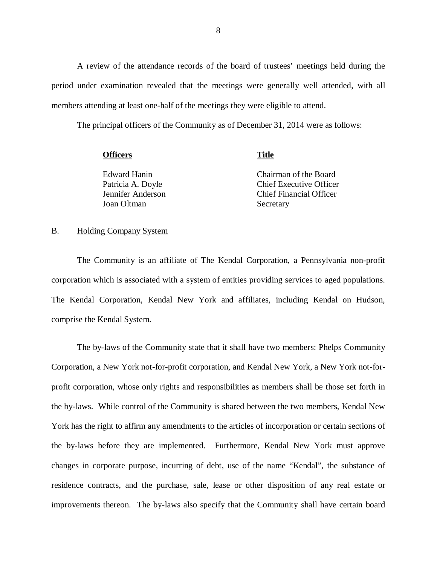period under examination revealed that the meetings were generally well attended, with all members attending at least one-half of the meetings they were eligible to attend. A review of the attendance records of the board of trustees' meetings held during the

The principal officers of the Community as of December 31, 2014 were as follows:

| <b>Officers</b>   | Title                          |
|-------------------|--------------------------------|
| Edward Hanin      | Chairman of the Board          |
| Patricia A. Doyle | <b>Chief Executive Officer</b> |
| Jennifer Anderson | <b>Chief Financial Officer</b> |
| Joan Oltman       | Secretary                      |

#### B. Holding Company System

 corporation which is associated with a system of entities providing services to aged populations. The Kendal Corporation, Kendal New York and affiliates, including Kendal on Hudson, comprise the Kendal System. The Community is an affiliate of The Kendal Corporation, a Pennsylvania non-profit

 The by-laws of the Community state that it shall have two members: Phelps Community Corporation, a New York not-for-profit corporation, and Kendal New York, a New York not-for- profit corporation, whose only rights and responsibilities as members shall be those set forth in the by-laws. While control of the Community is shared between the two members, Kendal New York has the right to affirm any amendments to the articles of incorporation or certain sections of the by-laws before they are implemented. Furthermore, Kendal New York must approve changes in corporate purpose, incurring of debt, use of the name "Kendal", the substance of residence contracts, and the purchase, sale, lease or other disposition of any real estate or improvements thereon. The by-laws also specify that the Community shall have certain board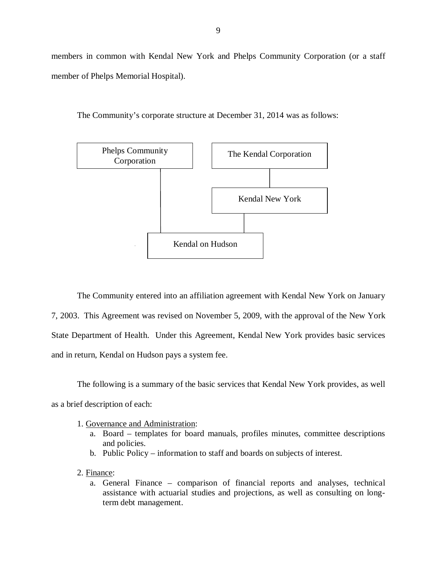members in common with Kendal New York and Phelps Community Corporation (or a staff member of Phelps Memorial Hospital).





 The Community entered into an affiliation agreement with Kendal New York on January 7, 2003. This Agreement was revised on November 5, 2009, with the approval of the New York State Department of Health. Under this Agreement, Kendal New York provides basic services and in return, Kendal on Hudson pays a system fee.

 The following is a summary of the basic services that Kendal New York provides, as well as a brief description of each:

- 1. Governance and Administration:
	- a. Board templates for board manuals, profiles minutes, committee descriptions and policies.
	- b. Public Policy information to staff and boards on subjects of interest.
- 2. Finance:
	- a. General Finance comparison of financial reports and analyses, technical assistance with actuarial studies and projections, as well as consulting on long-term debt management.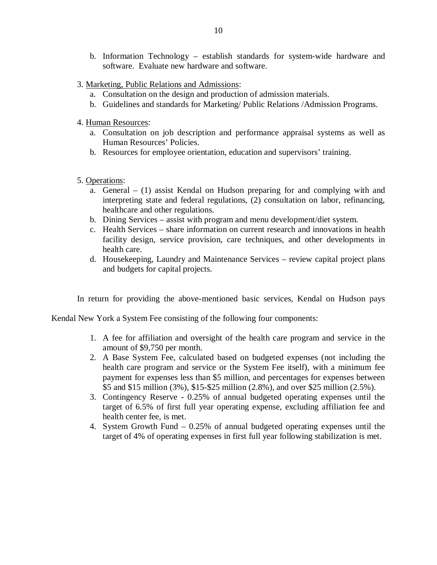- b. Information Technology establish standards for system-wide hardware and software. Evaluate new hardware and software.
- 3. Marketing, Public Relations and Admissions:
	- a. Consultation on the design and production of admission materials.
	- b. Guidelines and standards for Marketing/ Public Relations /Admission Programs.
- 4. Human Resources:
	- a. Consultation on job description and performance appraisal systems as well as Human Resources' Policies.
	- b. Resources for employee orientation, education and supervisors' training.
- 5. Operations:
	- a. General (1) assist Kendal on Hudson preparing for and complying with and interpreting state and federal regulations, (2) consultation on labor, refinancing, healthcare and other regulations.
	- b. Dining Services assist with program and menu development/diet system.
	- c. Health Services share information on current research and innovations in health facility design, service provision, care techniques, and other developments in health care.
	- d. Housekeeping, Laundry and Maintenance Services review capital project plans and budgets for capital projects.

In return for providing the above-mentioned basic services, Kendal on Hudson pays

Kendal New York a System Fee consisting of the following four components:

- 1. A fee for affiliation and oversight of the health care program and service in the amount of \$9,750 per month.
- 2. A Base System Fee, calculated based on budgeted expenses (not including the health care program and service or the System Fee itself), with a minimum fee payment for expenses less than \$5 million, and percentages for expenses between \$5 and \$15 million (3%), \$15-\$25 million (2.8%), and over \$25 million (2.5%).
- 3. Contingency Reserve 0.25% of annual budgeted operating expenses until the target of 6.5% of first full year operating expense, excluding affiliation fee and health center fee, is met.
- 4. System Growth Fund 0.25% of annual budgeted operating expenses until the target of 4% of operating expenses in first full year following stabilization is met.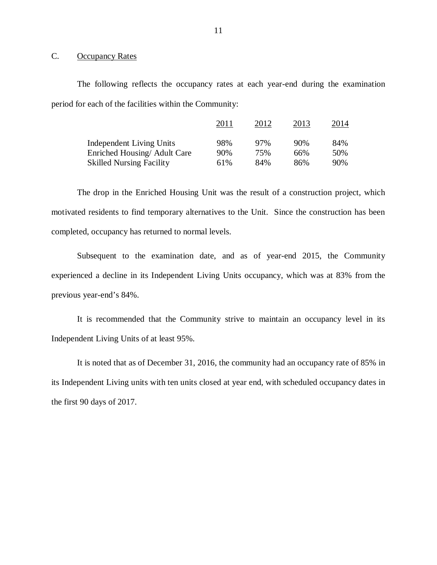#### <span id="page-12-0"></span>C. Occupancy Rates

 The following reflects the occupancy rates at each year-end during the examination period for each of the facilities within the Community:

|                                 | 2011 | 2012 | 2013 | 2014 |
|---------------------------------|------|------|------|------|
| <b>Independent Living Units</b> | 98%  | 97%  | 90%  | 84%  |
| Enriched Housing/ Adult Care    | 90%  | 75%  | 66%  | 50%  |
| <b>Skilled Nursing Facility</b> | 61%  | 84%  | 86%  | 90%  |

 The drop in the Enriched Housing Unit was the result of a construction project, which motivated residents to find temporary alternatives to the Unit. Since the construction has been completed, occupancy has returned to normal levels.

 Subsequent to the examination date, and as of year-end 2015, the Community experienced a decline in its Independent Living Units occupancy, which was at 83% from the previous year-end's 84%.

 It is recommended that the Community strive to maintain an occupancy level in its Independent Living Units of at least 95%.

 It is noted that as of December 31, 2016, the community had an occupancy rate of 85% in its Independent Living units with ten units closed at year end, with scheduled occupancy dates in the first 90 days of 2017.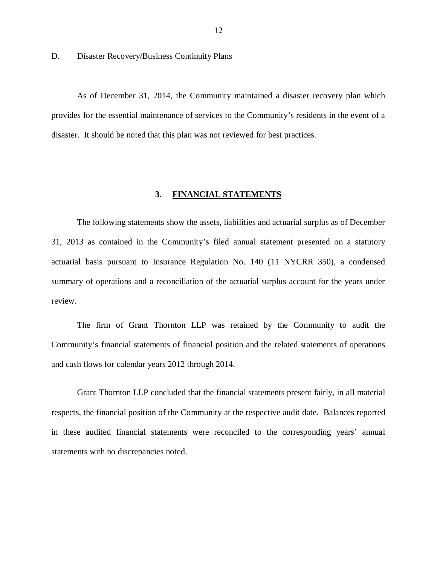#### <span id="page-13-0"></span>D. Disaster Recovery/Business Continuity Plans

 As of December 31, 2014, the Community maintained a disaster recovery plan which provides for the essential maintenance of services to the Community's residents in the event of a disaster. It should be noted that this plan was not reviewed for best practices.

#### $3.$ **3. FINANCIAL STATEMENTS**

 The following statements show the assets, liabilities and actuarial surplus as of December 31, 2013 as contained in the Community's filed annual statement presented on a statutory actuarial basis pursuant to Insurance Regulation No. 140 (11 NYCRR 350), a condensed summary of operations and a reconciliation of the actuarial surplus account for the years under review.

 The firm of Grant Thornton LLP was retained by the Community to audit the Community's financial statements of financial position and the related statements of operations and cash flows for calendar years 2012 through 2014.

 Grant Thornton LLP concluded that the financial statements present fairly, in all material respects, the financial position of the Community at the respective audit date. Balances reported in these audited financial statements were reconciled to the corresponding years' annual statements with no discrepancies noted.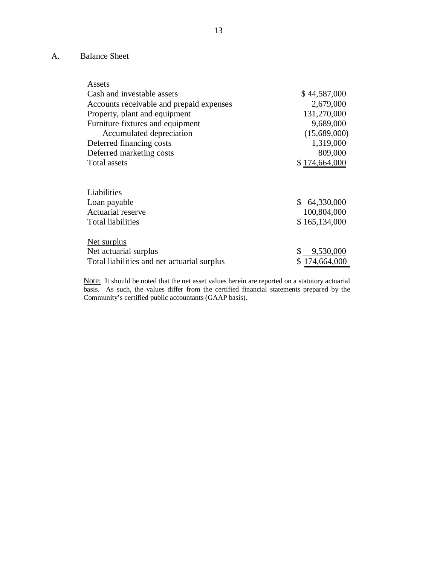#### <span id="page-14-0"></span>A. **Balance Sheet**

| Assets                                      |                           |
|---------------------------------------------|---------------------------|
| Cash and investable assets                  | \$44,587,000              |
| Accounts receivable and prepaid expenses    | 2,679,000                 |
| Property, plant and equipment               | 131,270,000               |
| Furniture fixtures and equipment            | 9,689,000                 |
| Accumulated depreciation                    | (15,689,000)              |
| Deferred financing costs                    | 1,319,000                 |
| Deferred marketing costs                    | 809,000                   |
| Total assets                                | \$174,664,000             |
|                                             |                           |
| Liabilities                                 |                           |
| Loan payable                                | \$64,330,000              |
| <b>Actuarial reserve</b>                    | 100,804,000               |
| <b>Total liabilities</b>                    | \$165,134,000             |
| Net surplus                                 |                           |
| Net actuarial surplus                       | 9,530,000<br>$\mathbb{S}$ |
| Total liabilities and net actuarial surplus | 174,664,000               |
|                                             |                           |

i<br>L Community's certified public accountants (GAAP basis). Note: It should be noted that the net asset values herein are reported on a statutory actuarial basis. As such, the values differ from the certified financial statements prepared by the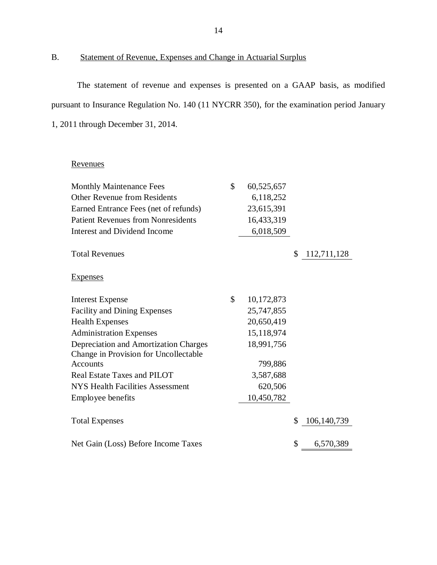#### B. Statement of Revenue, Expenses and Change in Actuarial Surplus

 The statement of revenue and expenses is presented on a GAAP basis, as modified pursuant to Insurance Regulation No. 140 (11 NYCRR 350), for the examination period January 1, 2011 through December 31, 2014.

### Revenues

| <b>Monthly Maintenance Fees</b>              | \$<br>60,525,657 |                     |
|----------------------------------------------|------------------|---------------------|
| <b>Other Revenue from Residents</b>          | 6,118,252        |                     |
| Earned Entrance Fees (net of refunds)        | 23,615,391       |                     |
| <b>Patient Revenues from Nonresidents</b>    | 16,433,319       |                     |
| <b>Interest and Dividend Income</b>          | 6,018,509        |                     |
| <b>Total Revenues</b>                        |                  | \$<br>112,711,128   |
| <b>Expenses</b>                              |                  |                     |
| <b>Interest Expense</b>                      | \$<br>10,172,873 |                     |
| <b>Facility and Dining Expenses</b>          | 25,747,855       |                     |
| <b>Health Expenses</b>                       | 20,650,419       |                     |
| <b>Administration Expenses</b>               | 15,118,974       |                     |
| <b>Depreciation and Amortization Charges</b> | 18,991,756       |                     |
| Change in Provision for Uncollectable        |                  |                     |
| <b>Accounts</b>                              | 799,886          |                     |
| Real Estate Taxes and PILOT                  | 3,587,688        |                     |
| <b>NYS Health Facilities Assessment</b>      | 620,506          |                     |
| <b>Employee benefits</b>                     | 10,450,782       |                     |
| <b>Total Expenses</b>                        |                  | \$<br>106, 140, 739 |
| Net Gain (Loss) Before Income Taxes          |                  | \$<br>6,570,389     |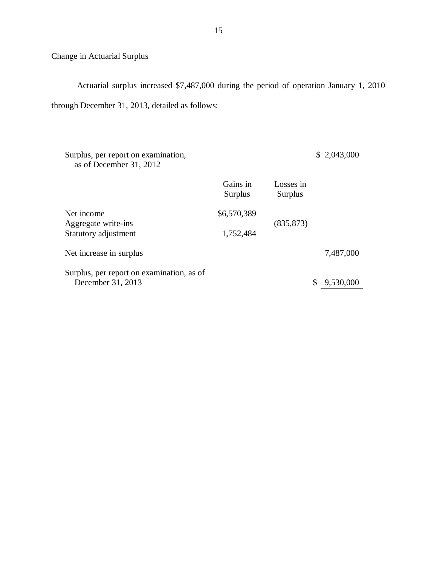#### Change in Actuarial Surplus

 Actuarial surplus increased \$7,487,000 during the period of operation January 1, 2010 through December 31, 2013, detailed as follows:

 Surplus, per report on examination, as of December 31, 2012 \$ 2,043,000 Gains in Net income Aggregate write-ins Statutory adjustment Net increase in surplus 7,487,000 Surplus, per report on examination, as of December 31, 2013 \$ 9,530,000 Surplus Losses in **Surplus** \$6,570,389 1,752,484 (835,873)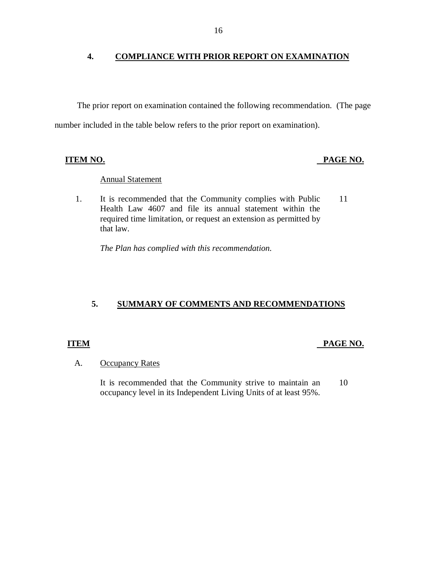#### <span id="page-17-0"></span> **COMPLIANCE WITH PRIOR REPORT ON EXAMINATION**

 The prior report on examination contained the following recommendation. (The page number included in the table below refers to the prior report on examination).

#### **ITEM NO.**

#### **PAGE NO.**

### Annual Statement

 $1.$  Health Law 4607 and file its annual statement within the required time limitation, or request an extension as permitted by that law. It is recommended that the Community complies with Public 11

 *The Plan has complied with this recommendation.* 

### **5. SUMMARY OF COMMENTS AND RECOMMENDATIONS**

### **ITEM**

### PAGE NO.

#### A. **Occupancy Rates**

 occupancy level in its Independent Living Units of at least 95%. It is recommended that the Community strive to maintain an 10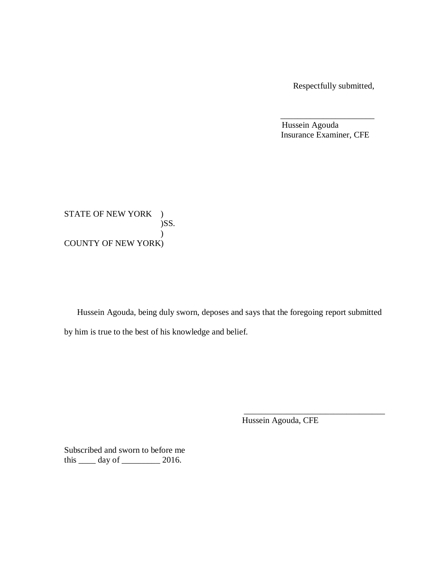Respectfully submitted,

Hussein Agouda Insurance Examiner, CFE

\_\_\_\_\_\_\_\_\_\_\_\_\_\_\_\_\_\_\_\_\_\_

STATE OF NEW YORK ) COUNTY OF NEW YORK) )SS.  $\lambda$ 

 Hussein Agouda, being duly sworn, deposes and says that the foregoing report submitted by him is true to the best of his knowledge and belief.

Hussein Agouda, CFE

\_\_\_\_\_\_\_\_\_\_\_\_\_\_\_\_\_\_\_\_\_\_\_\_\_\_\_\_\_\_\_\_\_

 Subscribed and sworn to before me this  $\_\_\_\_$  day of  $\_\_\_\_\_\_$  2016.